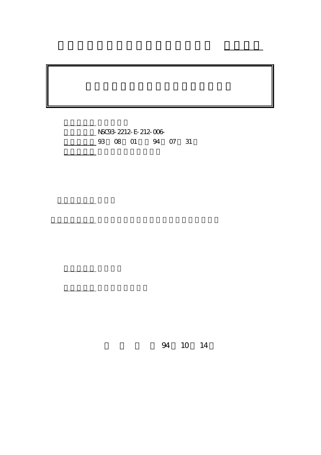計畫編號: NSC93-2212-E-212-006- 03 08 01 94 07 31

計畫參與人員: 鍾翼能,莊登吉,陳兆芸,陳建銓,黃皓維

。<br>在前書 : 本計畫可公開查詢

計畫主持人: 鍾翼能

行政院國家科學委員會專題研究計畫 成果報告

94 10 14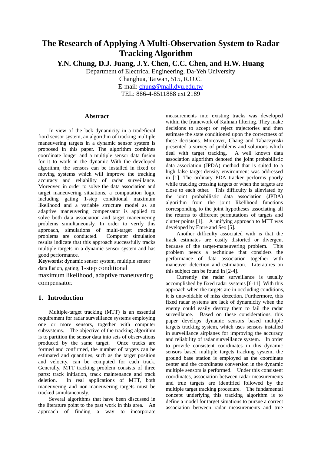# **The Research of Applying A Multi-Observation System to Radar Tracking Algorithm**

**Y.N. Chung, D.J. Juang, J.Y. Chen, C.C. Chen, and H.W. Huang**

Department of Electrical Engineering, Da-Yeh University

Changhua, Taiwan, 515, R.O.C.

E-mail: chung@mail.dyu.edu.tw TEL: 886-4-8511888 ext 2189

## **Abstract**

In view of the lack dynamicity in a tradeficral fiord sensor system, an algorithm of tracking multiple maneuvering targets in a dynamic sensor system is proposed in this paper. The algorithm combines coordinate longer and a multiple sensor data fusion for it to work in the dynamic With the developed algorithm, the sensors can be installed in fixed or moving systems which will improve the tracking accuracy and reliability of radar surveillance. Moreover, in order to solve the data association and target maneuvering situations, a computation logic including gating 1-step conditional maximum likelihood and a variable structure model as an adaptive maneuvering compensator is applied to solve both data association and target maneuvering problems simultaneously. In order to verify this approach, simulations of multi-target tracking problems are conducted. Computer simulation results indicate that this approach successfully tracks multiple targets in a dynamic sensor system and has good performance.

**Keywords**: dynamic sensor system, multiple sensor data fusion, gating, 1-step conditional maximum likelihood, adaptive maneuvering

# **1. Introduction**

compensator.

Multiple-target tracking (MTT) is an essential requirement for radar surveillance systems employing one or more sensors, together with computer subsystems. The objective of the tracking algorithm is to partition the sensor data into sets of observations produced by the same target. Once tracks are formed and confirmed, the number of targets can be estimated and quantities, such as the target position and velocity, can be computed for each track. Generally, MTT tracking problem consists of three parts: track initiation, track maintenance and track deletion. In real applications of MTT, both maneuvering and non-maneuvering targets must be tracked simultaneously.

Several algorithms that have been discussed in the literature point to the past work in this area. An approach of finding a way to incorporate

measurements into existing tracks was developed within the framework of Kalman filtering. They make decisions to accept or reject trajectories and then estimate the state conditioned upon the correctness of these decisions. Moreover, Chang and Tabaczynski presented a survey of problems and solutions which deal with target tracking. A well known data association algorithm denoted the joint probabilistic data association (JPDA) method that is suited to a high false target density environment was addressed in [1]. The ordinary PDA tracker performs poorly while tracking crossing targets or when the targets are close to each other. This difficulty is alleviated by the joint probabilistic data association (JPDA) algorithm from the joint likelihood functions corresponding to the joint hypotheses associating all the returns to different permutations of targets and clutter points [1]. A unifying approach to MTT was developed by Emre and Seo [5].

Another difficulty associated with is that the track estimates are easily distorted or divergent because of the target-maneuvering problem. This problem needs a technique that considers the performance of data association together with maneuver detection and estimation. Literatures on this subject can be found in [2-4].

Currently the radar surveillance is usually accomplished by fixed radar systems [6-11]. With this approach when the targets are in occluding conditions, it is unavoidable of miss detection. Furthermore, this fixed radar systems are lack of dynamicity when the enemy could easily destroy them to fail the radar surveillance. Based on these considerations, this paper develops dynamic sensors based multiple targets tracking system, which uses sensors installed in surveillance airplanes for improving the accuracy and reliability of radar surveillance system. In order to provide consistent coordinates in this dynamic sensors based multiple targets tracking system, the ground base station is employed as the coordinate center and the coordinates conversion in the dynamic multiple sensors is performed. Under this consistent coordinates, association between radar measurements and true targets are identified followed by the multiple target tracking procedure. The fundamental concept underlying this tracking algorithm is to define a model for target situations to pursue a correct association between radar measurements and true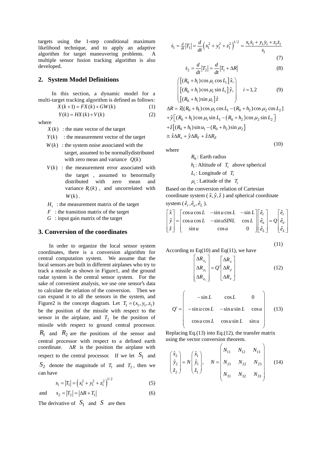targets using the 1-step conditional maximum likelihood technique, and to apply an adaptive algorithm for target maneuvering problems. A multiple sensor fusion tracking algorithm is also developed.

## **2. System Model Definitions**

 In this section, a dynamic model for a multi-target tracking algorithm is defined as follows:

$$
X(k+1) = FX(k) + GW(k)
$$
  
\n
$$
Y(k) = HX(k) + V(k)
$$
\n(1)

where

- $X(k)$ : the state vector of the target
- $Y(k)$  : the measurement vector of the target
- $W(k)$ : the system noise associated with the target, assumed to be normallydistributed with zero mean and variance  $Q(k)$
- $V(k)$  : the measurement error associated with the target , assumed to benormally distributed with zero mean and variance  $R_i(k)$ , and uncorrelated with  $W(k)$ .
- $H<sub>i</sub>$ : the measurement matrix of the target
- *F* : the transition matrix of the target
- *G* : input gain matrix of the target

#### **3. Conversion of the coordinates**

In order to organize the local sensor system coordinates, there is a conversion algorithm for central computation system. We assume that the local sensors are built in different airplanes who try to track a missile as shown in Figure1, and the ground radar system is the central sensor system. For the sake of convenient analysis, we use one sensor's data to calculate the relation of the conversion. Then we can expand it to all the sensors in the system, and Figure2 is the concept diagram. Let  $T_1 = (x_1, y_1, z_1)$ be the position of the missile with respect to the sensor in the airplane, and  $T_2$  be the position of missile with respect to ground central processor.  $R_1$  and  $R_2$  are the positions of the sensor and central processor with respect to a defined earth coordinate. ∆*R* is the position the airplane with respect to the central processor. If we let  $S_1$  and  $S_2$  denote the magnitude of  $T_1$  and  $T_2$ , then we can have

$$
s_1 = |T_1| = \left(x_1^2 + y_1^2 + z_1^2\right)^{1/2} \tag{5}
$$

and 
$$
s_2 = |T_2| = |\Delta R + T_1|
$$
 (6)

The derivative of  $S_1$  and  $S$  are then

$$
\dot{s}_1 = \frac{d}{dt} |T_1| = \frac{d}{dt} \left( x_1^2 + y_1^2 + z_1^2 \right)^{1/2} = \frac{x_1 \dot{x}_1 + y_1 \dot{y}_1 + z_1 \dot{z}_1}{s_1}
$$
\n(7)

$$
\dot{s}_2 = \frac{d}{dt} |T_2| = \frac{d}{dt} |T_1 + \Delta R| \tag{8}
$$

$$
\begin{cases}\n\left[ (R_0 + h_i) \cos \mu_i \cos L_i \right] \hat{x}, \\
\left[ (R_0 + h_i) \cos \mu_i \sin L_i \right] \hat{y}, \\
\left[ (R_0 + h_i) \sin \mu_i \right] \hat{z}\n\end{cases}
$$
\n(9)

$$
\Delta R = \hat{x}[(R_0 + h_1)\cos \mu_1 \cos L_1 - (R_0 + h_2)\cos \mu_2 \cos L_2]
$$
  
+ $\hat{y}[(R_0 + h_1)\cos \mu_1 \sin L_1 - (R_0 + h_2)\cos \mu_2 \sin L_2]$   
+ $\hat{z}[(R_0 + h_1)\sin \mu_1 - (R_0 + h_2)\sin \mu_2]$   
 $\approx \hat{x}\Delta R_x + \hat{y}\Delta R_y + \hat{z}\Delta R_z$ 

where

$$
R_0
$$
: Earth radius  $h_i$ : Altitude of  $T_i$  above spherical  $L_i$ : Longitude of  $T_i$   $\mu_i$ : Latitude of the  $T_i$ 

Based on the conversion relation of Cartesian coordinate system  $(\hat{x}, \hat{y}, \hat{z})$  and spherical coordinate system  $(\hat{e}_r, \hat{e}_u, \hat{e}_L)$ .

$$
\begin{bmatrix} \hat{x} \\ \hat{y} \\ \hat{z} \end{bmatrix} = \begin{bmatrix} \cos u \cos L & -\sin u \cos L & -\sin L \\ \cos u \cos L & -\sin u \sin L & \cos L \\ \sin u & \cos u & 0 \end{bmatrix} \begin{bmatrix} \hat{e}_r \\ \hat{e}_u \\ \hat{e}_L \end{bmatrix} = Q \begin{bmatrix} \hat{e}_r \\ \hat{e}_u \\ \hat{e}_L \end{bmatrix}
$$

$$
(11)
$$

(10)

According to Eq(10) and Eq(11), we have 
$$
\frac{1}{2} \int_{-\infty}^{\infty} f(x) \, dx
$$

$$
\begin{bmatrix}\n\Delta R_{x_1} \\
\Delta R_{y_1} \\
\Delta R_{z_1}\n\end{bmatrix} = Q' \begin{bmatrix}\n\Delta R_x \\
\Delta R_y \\
\Delta R_z\n\end{bmatrix}
$$
\n(12)

$$
Q' = \begin{pmatrix} -\sin L & \cos L & 0 \\ -\sin u \cos L & -\sin u \sin L & \cos u \\ \cos u \cos L & \cos u \sin L & \sin u \end{pmatrix}
$$
 (13)

Replacing Eq.(13) into Eq.(12), the transfer matrix using the vector conversion theorem.

$$
\begin{pmatrix} \hat{x}_2 \\ \hat{y}_2 \\ \hat{z}_2 \end{pmatrix} = N \begin{pmatrix} \hat{x}_1 \\ \hat{y}_1 \\ \hat{z}_1 \end{pmatrix}, \qquad N = \begin{pmatrix} N_{11} & N_{12} & N_{13} \\ N_{21} & N_{22} & N_{23} \\ N_{31} & N_{32} & N_{33} \end{pmatrix}
$$
 (14)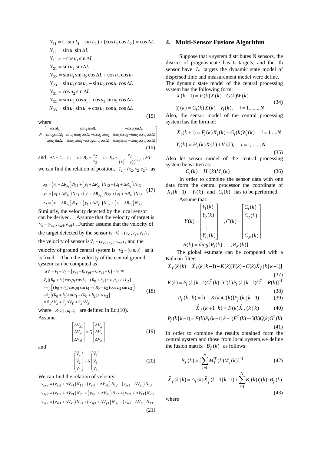$$
N_{11} = (-\sin L_1 - \sin L_2) + (\cos L_1 \cos L_2) = \cos \Delta L
$$
  
\n
$$
N_{12} = \sin u_1 \sin \Delta L
$$
  
\n
$$
N_{13} = -\cos u_1 \sin \Delta L
$$
  
\n
$$
N_{21} = \sin u_2 \sin \Delta L
$$
  
\n
$$
N_{22} = \sin u_1 \sin u_2 \cos \Delta L + \cos u_u \cos u_2
$$
  
\n
$$
N_{23} = \sin u_1 \cos u_2 - \sin u_2 \cos u_1 \cos \Delta L
$$
  
\n
$$
N_{31} = \cos u_2 \sin \Delta L
$$
  
\n
$$
N_{32} = \sin u_2 \cos u_1 - \cos u_2 \sin u_1 \cos \Delta L
$$
  
\n
$$
N_{33} = \sin u_2 \sin u_1 + \cos u_2 \cos u_1 \cos \Delta L
$$
  
\n(15)

where

 $\cos \Delta t_1$   $\sin u_1 \sin \Delta t$   $-\cos u_1 \sin t_1$  $N = \begin{vmatrix} \sin u_2 \sin \Delta t_1 & \sin u_1 \sin u_2 \cos \Delta t + \cos u_1 \cos u_2 & \sin u_1 \cos \Delta t_2 \sin \Delta t_1 & \sin u_1 \sin \Delta t_1 & \sin u_1 \cos \Delta t_1 & \sin u_1 \cos \Delta t_1 & \sin \Delta t_1 & \sin \Delta t_1 & \cos \Delta t_1 \cos \Delta t_1 & \cos \Delta t_1 & \cos \Delta t_1 & \cos \Delta t_1 & \cos \Delta t_1 & \cos \Delta t_1 & \cos \Delta t_1 & \cos \Delta t_1 & \cos \Delta t_1 & \cos \Delta t_1 & \cos \Delta t_1 & \cos$  $\lfloor \cos u_2 \sin \Delta L \ \sin u_2 \cos u_1 - \cos u_2 \sin u_1 \cos \Delta L \ \sin u_2 \sin u_1 + \cos u_2 \cos u_1 \cos \Delta L \rfloor$  $\begin{bmatrix} \cos \Delta t_1 & \sin \Delta t & -\cos \theta_1 \sin \Delta t \end{bmatrix}$ (16)

and  $\Delta L = L_1 - L_2$   $\tan B_2 = \frac{x_2}{y_2}$   $\tan E_2 = \frac{z_2}{(x_2^2 + y_2^2)^{1/2}}$ , so we can find the relation of position,  $T_2 = (x_2, y_2, z_2)$  as

$$
x_2 = (x_1 + \Delta R_{x_1}) N_{11} + (y_1 + \Delta R_{y_1}) N_{12} + (z_1 + \Delta R_{z_1}) N_{13}
$$
  
\n
$$
y_2 = (x_1 + \Delta R_{x_1}) N_{21} + (y_1 + \Delta R_{y_1}) N_{22} + (z_1 + \Delta R_{z_1}) N_{23}
$$
 (17)  
\n
$$
z_2 = (x_1 + \Delta R_{x_1}) N_{31} + (y_1 + \Delta R_{y_1}) N_{32} + (z_1 + \Delta R_{z_1}) N_{33}
$$

Similarly, the velocity detected by the local sensor can be derived. Assume that the velocity of target is  $\vec{v}_s = (v_{sx1}, v_{sy1}, v_{sz1})$ , Further assume that the velocity of the target detected by the sensor is  $\vec{v}_1 = (v_{x1}, v_{y1}, v_{z1})$ , the velocity of sensor is  $\vec{v}_2 = (v_{x2}, v_{y2}, v_{z2})$ , and the velocity of ground central system is  $\vec{v}_2 = (0,0,0)$  as it is fixed. Then the velocity of the central ground system can be computed as  $\Delta V = \vec{V_1} - \vec{V_2} = (v_{x1} - 0, v_{y1} - 0, v_{z1} - 0) = \vec{V_1}$ 

$$
\vec{v}_{x}[(R_{0} + h_{1})\cos \mu_{1} \cos \nu_{1} - (R_{0} + h_{2})\cos \mu_{2} \cos L_{2}]
$$
  
\n
$$
+ \vec{v}_{y}[(R_{0} + h_{1})\cos \mu_{1} \sin L_{1} - (R_{0} + h_{2})\cos \mu_{2} \sin L_{2}]
$$
  
\n
$$
+ \vec{v}_{z}[(R_{0} + h_{1})\sin \mu_{1} - (R_{0} + h_{2})\sin \mu_{2}]
$$
  
\n
$$
\equiv \vec{v}_{x} \Delta V_{x} + \vec{v}_{y} \Delta V_{y} + \vec{v}_{z} \Delta V_{Z}
$$
\n(18)

where  $R_0, h_i, \mu_i, L_i$  are defined in Eq.(10). Assume

$$
\begin{bmatrix}\n\Delta V_{x1} \\
\Delta V_{y1} \\
\Delta V_{z1}\n\end{bmatrix} = Q \begin{bmatrix}\n\Delta V_{x} \\
\Delta V_{y} \\
\Delta V_{z}\n\end{bmatrix}
$$
\n(19)

and

$$
\begin{pmatrix} \vec{v}_2 \\ \vec{v}_2 \\ \vec{v}_2 \end{pmatrix} = N \begin{pmatrix} \vec{v}_1 \\ \vec{v}_1 \\ \vec{v}_1 \end{pmatrix}
$$
 (20)

We can find the relation of velocity:

 $v_{sx2} = (v_{sx1} + \Delta V_{x1}) N_{11} + (v_{sy1} + \Delta V_{y1}) N_{12} + (v_{sz1} + \Delta V_{z1}) N_{13}$  $v_{sy2} = (v_{sx1} + \Delta V_{x1}) N_{21} + (y_{sy1} + \Delta V_{y1}) N_{22} + (v_{sz1} + \Delta V_{z1}) N_{23}$  $v_{sz2} = (v_{sz1} + \Delta V_{x1})N_{31} + (y_{sy1} + \Delta V_{y1})N_{32} + (v_{sz1} + \Delta V_{z1})N_{33}$ (21)

#### **4. Multi-Sensor Fusions Algorithm**

Suppose that a system distributes N sensors, the district of prognosticate has L targets, and the ith sensor have *Li* targets the dynamic state model of dispersed time and measurement model were define.

The dynamic state model of the central processing system has the following form:

 $X(k+1) = F(k)X(k) + G(k)W(k)$ 

$$
Y_i(k) = C_i(k)X(k) + V_i(k), \quad i = 1, \dots, N
$$

Also, the sensor model of the central processing system has the form of:

$$
X_i(k+1) = F_i(k)X_i(k) + G_i(k)W_i(k) \quad i = 1,...N
$$
  

$$
Y_i(k) = H_i(k)X(k) + V_i(k), \quad i = 1,......,N
$$

 $(35)$ 

(34)

Also let sensor model of the central processing system be written as:

$$
C_i(k) = H_i(k)M_i(k)
$$
\n(36)

In order to combine the sensor data with one data form the central processor the coordinate of  $X_i(k+1)$ ,  $Y_i(k)$  and  $C_i(k)$  has to be performed.

Assume that:

$$
Y(k) = \begin{bmatrix} Y_1(k) \\ Y_2(k) \\ \vdots \\ Y_{L_i}(k) \end{bmatrix}, C(k) = \begin{bmatrix} C_1(k) \\ C_2(k) \\ \vdots \\ C_N(k) \end{bmatrix}
$$

 $R(k) = diag[R_1(k), \dots, R_N(k)]$ 

The global estimate can be computed with a Kalman filter:

$$
\hat{X}_f(k|k) = \hat{X}_f(k|k-1) + K(k)[Y(k) - C(k)\hat{X}_f(k|k-1)]
$$
\n(37)

$$
K(k) = P_f(k | k-1)C^T(k) \cdot [C(k)P_f(k | k-1)C^T + R(k)]^{-1}
$$

(38)

(43)

$$
P_f(k | k) = [I - K(k)C(k)]P_f(k | k - 1)
$$
 (39)

$$
\hat{X}_f(k+1|k) = F(k)\hat{X}_f(k|k)
$$
 (40)

$$
P_f(k|k-1) = F(k)P_f(k-1|k-1)F^T(k) + G(k)Q(k)G^T(k)
$$
\n(41)

In order to combine the results obtained form the central system and those from local system,we define the fusion matrix  $B_f(k)$  as follows:

$$
B_f(k) = \left[\sum_{i=1}^{N} M_i^T(k) M_i(k)\right]^{-1}
$$
 (42)

$$
\hat{X}_f(k|k) = A_f(k)\hat{X}_f(k-1|k-1) + \sum_{i=1}^{N} K_i(k)Y_i(k) \cdot B_f(k)
$$

where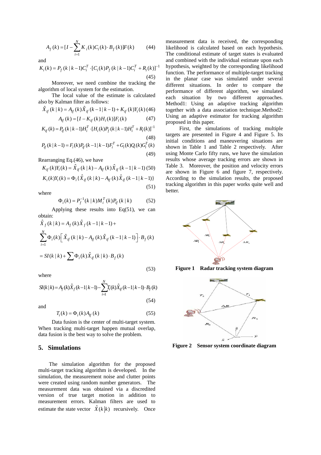$$
A_f(k) = [I - \sum_{i=1}^{N} K_i(k)C_i(k) \cdot B_f(k)]F(k)
$$
 (44)

and

$$
K_i(k) = P_f(k \mid k-1)C_i^T \cdot [C_i(k)P_f(k \mid k-1)C_i^T + R_i(k)]^{-1}
$$
\n(45)

Moreover, we need combine the tracking the algorithm of local system for the estimation.

The local value of the estimate is calculated also by Kalman filter as follows:

$$
\hat{X}_{if}(k|k) = A_{if}(k)\hat{X}_{if}(k-1|k-1) + K_{if}(k)Y_{i}(k)
$$
\n
$$
A_{i}(k) - [I - K_{i}(k)H_{i}(k)]F_{i}(k)
$$
\n(47)

$$
A_{ij}(\kappa) = \begin{bmatrix} 1 & \kappa_{ij}(\kappa) \mathbf{1} \mathbf{1}_i(\kappa) \mathbf{1}_j(\kappa) \\ \kappa_{ij}(\kappa) \mathbf{1}_i(\kappa) \mathbf{1}_j(\kappa) \end{bmatrix}
$$

$$
K_{if}(k) = P_{if}(k | k - 1)H_i^T \cdot [H_i(k)P_f(k | k - 1)H_i^T + R_i(k)]^{-1}
$$
\n(48)

$$
P_{if}(k | k-1) = F_i(k)P_{if}(k-1 | k-1)F_i^T + G_i(k)Q_i(k)G_i^T(k)
$$
\n(49)

Rearranging Eq.(46), we have

$$
K_{if}(k)Y_i(k) = \hat{X}_{if}(k | k) - A_{if}(k)\hat{X}_{if}(k-1 | k-1)
$$
 (50)

$$
K_i(k)Y_i(k) = \Phi_i\{\hat{X}_{if}(k | k) - A_{if}(k)\hat{X}_{if}(k-1 | k-1)\}\
$$

where

$$
\Phi_i(k) = P_f^{-1}(k \mid k) M_i^T(k) P_{if}(k \mid k)
$$
 (52)

(51)

Applying these results into  $Eq(51)$ , we can obtain:

$$
\hat{X}_f(k | k) = A_f(k)\hat{X}_f(k-1 | k-1) +
$$
\n
$$
\sum_{i=1}^N \Phi_i(k) \left[ \hat{X}_{if}(k | k) - A_{if}(k) \hat{X}_{if}(k-1 | k-1) \right] \cdot B_f(k)
$$

$$
= SI(k | k) + \sum \Phi_i(k) \hat{X}_{if}(k | k) \cdot B_f(k)
$$
\n(53)

where

$$
SI(k|k) = A_f(k)\hat{X}_f(k-1|k-1) - \sum_{i=1}^{N} T_i(k)\hat{X}_{if}(k-1|k-1) \cdot B_f(k)
$$
\n(54)

and

$$
T_i(k) = \Phi_i(k) A_{if}(k)
$$
\n(55)

Data fusion is the center of multi-target system. When tracking multi-target happen mutual overlap, data fusion is the best way to solve the problem.

#### **5. Simulations**

The simulation algorithm for the proposed multi-target tracking algorithm is developed. In the simulation, the measurement noise and clutter points were created using random number generators. The measurement data was obtained via a discredited version of true target motion in addition to measurement errors. Kalman filters are used to estimate the state vector  $\hat{X}(k|k)$  recursively. Once

measurement data is received, the corresponding likelihood is calculated based on each hypothesis. The conditional estimate of target states is evaluated and combined with the individual estimate upon each hypothesis, weighted by the corresponding likelihood function. The performance of multiple-target tracking in the planar case was simulated under several different situations. In order to compare the performance of different algorithm, we simulated each situation by two different approaches. Method1: Using an adaptive tracking algorithm together with a data association technique.Method2: Using an adaptive estimator for tracking algorithm proposed in this paper.

First, the simulations of tracking multiple targets are presented in Figure 4 and Figure 5. Its initial conditions and maneuvering situations are shown in Table 1 and Table 2 respectively. After using Monte Carlo fifty runs, we have the simulation results whose average tracking errors are shown in Table 3. Moreover, the position and velocity errors are shown in Figure 6 and figure 7, respectively. According to the simulation results, the proposed tracking algorithm in this paper works quite well and better.



**Figure 1 Radar tracking system diagram** 



**Figure 2 Sensor system coordinate diagram**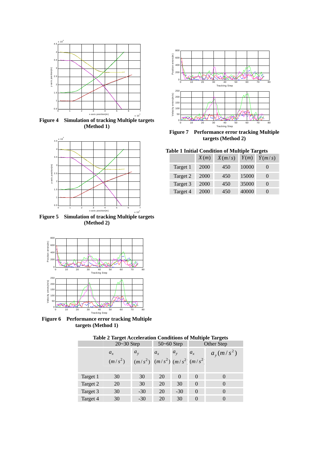

**Figure 4 Simulation of tracking Multiple targets (Method 1)** 



**(Method 2)** 



 **Figure 6 Performance error tracking Multiple targets (Method 1)** 



0 10 20 30 40 50 60 70 80 0 200 400 600 80 Tracking Step Position errors(m) 0 10 20 30 40 50 60 70 80 Tracking Step 0 50 100 150 200 250 Velocity errors(m/s)

**Figure 7 Performance error tracking Multiple targets (Method 2)** 



|          | X(m) | X(m/s) | Y(m)  | Y(m/s) |
|----------|------|--------|-------|--------|
| Target 1 | 2000 | 450    | 10000 |        |
| Target 2 | 2000 | 450    | 15000 |        |
| Target 3 | 2000 | 450    | 35000 |        |
| Target 4 | 2000 | 450    | 40000 |        |